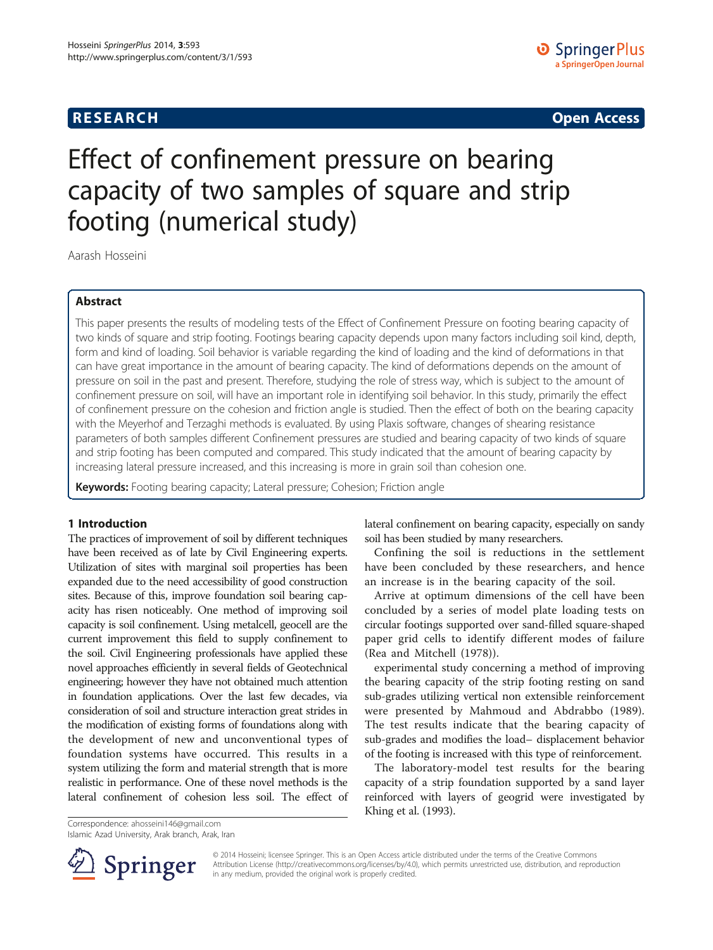## **RESEARCH RESEARCH CONSUMING ACCESS**

# Effect of confinement pressure on bearing capacity of two samples of square and strip footing (numerical study)

Aarash Hosseini

## Abstract

This paper presents the results of modeling tests of the Effect of Confinement Pressure on footing bearing capacity of two kinds of square and strip footing. Footings bearing capacity depends upon many factors including soil kind, depth, form and kind of loading. Soil behavior is variable regarding the kind of loading and the kind of deformations in that can have great importance in the amount of bearing capacity. The kind of deformations depends on the amount of pressure on soil in the past and present. Therefore, studying the role of stress way, which is subject to the amount of confinement pressure on soil, will have an important role in identifying soil behavior. In this study, primarily the effect of confinement pressure on the cohesion and friction angle is studied. Then the effect of both on the bearing capacity with the Meyerhof and Terzaghi methods is evaluated. By using Plaxis software, changes of shearing resistance parameters of both samples different Confinement pressures are studied and bearing capacity of two kinds of square and strip footing has been computed and compared. This study indicated that the amount of bearing capacity by increasing lateral pressure increased, and this increasing is more in grain soil than cohesion one.

Keywords: Footing bearing capacity; Lateral pressure; Cohesion; Friction angle

## 1 Introduction

The practices of improvement of soil by different techniques have been received as of late by Civil Engineering experts. Utilization of sites with marginal soil properties has been expanded due to the need accessibility of good construction sites. Because of this, improve foundation soil bearing capacity has risen noticeably. One method of improving soil capacity is soil confinement. Using metalcell, geocell are the current improvement this field to supply confinement to the soil. Civil Engineering professionals have applied these novel approaches efficiently in several fields of Geotechnical engineering; however they have not obtained much attention in foundation applications. Over the last few decades, via consideration of soil and structure interaction great strides in the modification of existing forms of foundations along with the development of new and unconventional types of foundation systems have occurred. This results in a system utilizing the form and material strength that is more realistic in performance. One of these novel methods is the lateral confinement of cohesion less soil. The effect of lateral confinement on bearing capacity, especially on sandy soil has been studied by many researchers.

Confining the soil is reductions in the settlement have been concluded by these researchers, and hence an increase is in the bearing capacity of the soil.

Arrive at optimum dimensions of the cell have been concluded by a series of model plate loading tests on circular footings supported over sand-filled square-shaped paper grid cells to identify different modes of failure (Rea and Mitchell [\(1978](#page-4-0))).

experimental study concerning a method of improving the bearing capacity of the strip footing resting on sand sub-grades utilizing vertical non extensible reinforcement were presented by Mahmoud and Abdrabbo [\(1989](#page-4-0)). The test results indicate that the bearing capacity of sub-grades and modifies the load– displacement behavior of the footing is increased with this type of reinforcement.

The laboratory-model test results for the bearing capacity of a strip foundation supported by a sand layer reinforced with layers of geogrid were investigated by Khing et al. [\(1993](#page-4-0)).

Correspondence: [ahosseini146@gmail.com](mailto:ahosseini146@gmail.com) Islamic Azad University, Arak branch, Arak, Iran



© 2014 Hosseini; licensee Springer. This is an Open Access article distributed under the terms of the Creative Commons Attribution License [\(http://creativecommons.org/licenses/by/4.0\)](http://creativecommons.org/licenses/by/4.0), which permits unrestricted use, distribution, and reproduction in any medium, provided the original work is properly credited.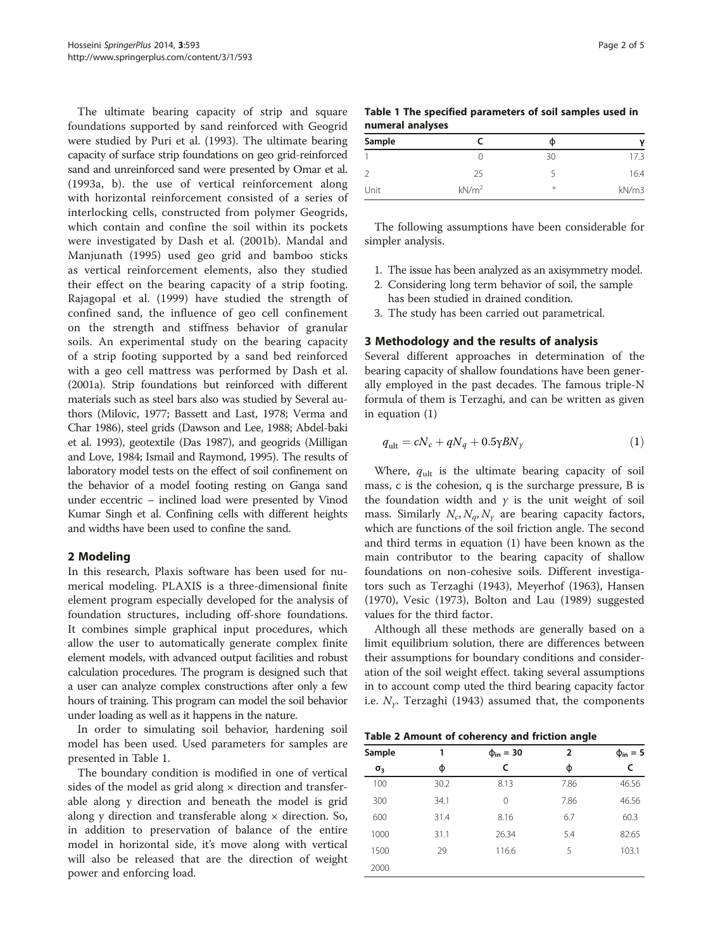<span id="page-1-0"></span>The ultimate bearing capacity of strip and square foundations supported by sand reinforced with Geogrid were studied by Puri et al. [\(1993\)](#page-4-0). The ultimate bearing capacity of surface strip foundations on geo grid-reinforced sand and unreinforced sand were presented by Omar et al. ([1993a](#page-4-0), [b\)](#page-4-0). the use of vertical reinforcement along with horizontal reinforcement consisted of a series of interlocking cells, constructed from polymer Geogrids, which contain and confine the soil within its pockets were investigated by Dash et al. ([2001b](#page-4-0)). Mandal and Manjunath [\(1995](#page-4-0)) used geo grid and bamboo sticks as vertical reinforcement elements, also they studied their effect on the bearing capacity of a strip footing. Rajagopal et al. [\(1999](#page-4-0)) have studied the strength of confined sand, the influence of geo cell confinement on the strength and stiffness behavior of granular soils. An experimental study on the bearing capacity of a strip footing supported by a sand bed reinforced with a geo cell mattress was performed by Dash et al. ([2001a\)](#page-4-0). Strip foundations but reinforced with different materials such as steel bars also was studied by Several authors (Milovic, [1977](#page-4-0); Bassett and Last, [1978;](#page-4-0) Verma and Char [1986](#page-4-0)), steel grids (Dawson and Lee, [1988](#page-4-0); Abdel-baki et al. [1993](#page-4-0)), geotextile (Das [1987\)](#page-4-0), and geogrids (Milligan and Love, [1984;](#page-4-0) Ismail and Raymond, [1995\)](#page-4-0). The results of laboratory model tests on the effect of soil confinement on the behavior of a model footing resting on Ganga sand under eccentric – inclined load were presented by Vinod Kumar Singh et al. Confining cells with different heights and widths have been used to confine the sand.

### 2 Modeling

In this research, Plaxis software has been used for numerical modeling. PLAXIS is a three-dimensional finite element program especially developed for the analysis of foundation structures, including off-shore foundations. It combines simple graphical input procedures, which allow the user to automatically generate complex finite element models, with advanced output facilities and robust calculation procedures. The program is designed such that a user can analyze complex constructions after only a few hours of training. This program can model the soil behavior under loading as well as it happens in the nature.

In order to simulating soil behavior, hardening soil model has been used. Used parameters for samples are presented in Table 1.

The boundary condition is modified in one of vertical sides of the model as grid along  $\times$  direction and transferable along y direction and beneath the model is grid along y direction and transferable along  $\times$  direction. So, in addition to preservation of balance of the entire model in horizontal side, it's move along with vertical will also be released that are the direction of weight power and enforcing load.

| Table 1 The specified parameters of soil samples used in |  |  |
|----------------------------------------------------------|--|--|
| numeral analyses                                         |  |  |

| Sample |                   | Φ       | v     |
|--------|-------------------|---------|-------|
|        |                   | 30      | 17.3  |
|        | 25                |         | 16.4  |
| Unit   | kN/m <sup>2</sup> | $\circ$ | kN/m3 |

The following assumptions have been considerable for simpler analysis.

- 1. The issue has been analyzed as an axisymmetry model.
- 2. Considering long term behavior of soil, the sample has been studied in drained condition.
- 3. The study has been carried out parametrical.

#### 3 Methodology and the results of analysis

Several different approaches in determination of the bearing capacity of shallow foundations have been generally employed in the past decades. The famous triple-N formula of them is Terzaghi, and can be written as given in equation (1)

$$
q_{\rm ult} = cN_c + qN_q + 0.5\gamma BN_\gamma \tag{1}
$$

Where,  $q_{ult}$  is the ultimate bearing capacity of soil mass, c is the cohesion, q is the surcharge pressure, B is the foundation width and  $\gamma$  is the unit weight of soil mass. Similarly  $N_c$ ,  $N_a$ ,  $N_v$  are bearing capacity factors, which are functions of the soil friction angle. The second and third terms in equation (1) have been known as the main contributor to the bearing capacity of shallow foundations on non-cohesive soils. Different investigators such as Terzaghi ([1943\)](#page-4-0), Meyerhof ([1963](#page-4-0)), Hansen ([1970\)](#page-4-0), Vesic ([1973](#page-4-0)), Bolton and Lau ([1989](#page-4-0)) suggested values for the third factor.

Although all these methods are generally based on a limit equilibrium solution, there are differences between their assumptions for boundary conditions and consideration of the soil weight effect. taking several assumptions in to account comp uted the third bearing capacity factor i.e.  $N_{\gamma}$ . Terzaghi ([1943\)](#page-4-0) assumed that, the components

Table 2 Amount of coherency and friction angle

| Sample     | 1    | $\Phi_{\rm in} = 30$ | $\overline{2}$ | $\phi_{\rm in} = 5$ |
|------------|------|----------------------|----------------|---------------------|
| $\sigma_3$ | φ    | C                    | φ              | c                   |
| 100        | 30.2 | 8.13                 | 7.86           | 46.56               |
| 300        | 34.1 | 0                    | 7.86           | 46.56               |
| 600        | 31.4 | 8.16                 | 6.7            | 60.3                |
| 1000       | 31.1 | 26.34                | 5.4            | 82.65               |
| 1500       | 29   | 116.6                | 5              | 103.1               |
| 2000       |      |                      |                |                     |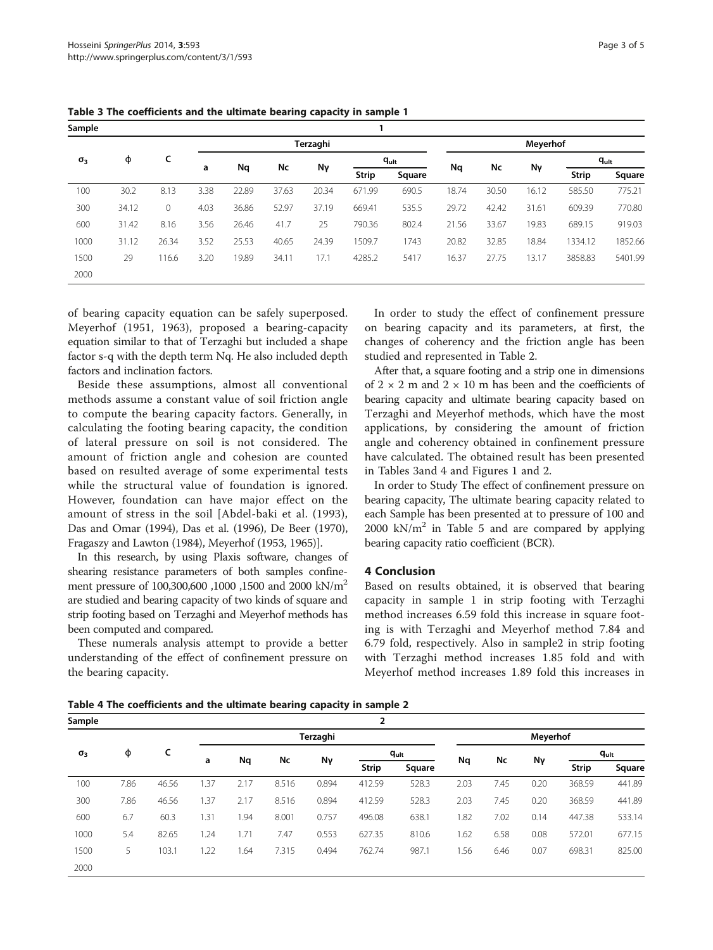| Sample     |       |       |          |       |       |       |        |              |        |          |       |           |              |        |
|------------|-------|-------|----------|-------|-------|-------|--------|--------------|--------|----------|-------|-----------|--------------|--------|
|            |       |       | Terzaghi |       |       |       |        |              |        | Meyerhof |       |           |              |        |
| $\sigma_3$ | Φ     | c     |          |       | Nc    |       |        | $q_{ult}$    | Nq     |          |       | $q_{ult}$ |              |        |
|            |       |       |          | а     | Nq    |       | Nγ     | <b>Strip</b> | Square |          | Nc    | Nγ        | <b>Strip</b> | Square |
| 100        | 30.2  | 8.13  | 3.38     | 22.89 | 37.63 | 20.34 | 671.99 | 690.5        | 18.74  | 30.50    | 16.12 | 585.50    | 775.21       |        |
| 300        | 34.12 | 0     | 4.03     | 36.86 | 52.97 | 37.19 | 669.41 | 535.5        | 29.72  | 42.42    | 31.61 | 609.39    | 770.80       |        |
| 600        | 31.42 | 8.16  | 3.56     | 26.46 | 41.7  | 25    | 790.36 | 802.4        | 21.56  | 33.67    | 19.83 | 689.15    | 919.03       |        |
| 1000       | 31.12 | 26.34 | 3.52     | 25.53 | 40.65 | 24.39 | 1509.7 | 1743         | 20.82  | 32.85    | 18.84 | 1334.12   | 1852.66      |        |
| 1500       | 29    | 116.6 | 3.20     | 19.89 | 34.11 | 17.1  | 4285.2 | 5417         | 16.37  | 27.75    | 13.17 | 3858.83   | 5401.99      |        |
| 2000       |       |       |          |       |       |       |        |              |        |          |       |           |              |        |

Table 3 The coefficients and the ultimate bearing capacity in sample 1

of bearing capacity equation can be safely superposed. Meyerhof [\(1951](#page-4-0), [1963\)](#page-4-0), proposed a bearing-capacity equation similar to that of Terzaghi but included a shape factor s-q with the depth term Nq. He also included depth factors and inclination factors.

Beside these assumptions, almost all conventional methods assume a constant value of soil friction angle to compute the bearing capacity factors. Generally, in calculating the footing bearing capacity, the condition of lateral pressure on soil is not considered. The amount of friction angle and cohesion are counted based on resulted average of some experimental tests while the structural value of foundation is ignored. However, foundation can have major effect on the amount of stress in the soil [Abdel-baki et al. ([1993](#page-4-0)), Das and Omar [\(1994\)](#page-4-0), Das et al. [\(1996](#page-4-0)), De Beer [\(1970](#page-4-0)), Fragaszy and Lawton ([1984](#page-4-0)), Meyerhof [\(1953](#page-4-0), [1965](#page-4-0))].

In this research, by using Plaxis software, changes of shearing resistance parameters of both samples confinement pressure of 100,300,600 ,1000 ,1500 and 2000 kN/m<sup>2</sup> are studied and bearing capacity of two kinds of square and strip footing based on Terzaghi and Meyerhof methods has been computed and compared.

These numerals analysis attempt to provide a better understanding of the effect of confinement pressure on the bearing capacity.

In order to study the effect of confinement pressure on bearing capacity and its parameters, at first, the changes of coherency and the friction angle has been studied and represented in Table [2.](#page-1-0)

After that, a square footing and a strip one in dimensions of  $2 \times 2$  m and  $2 \times 10$  m has been and the coefficients of bearing capacity and ultimate bearing capacity based on Terzaghi and Meyerhof methods, which have the most applications, by considering the amount of friction angle and coherency obtained in confinement pressure have calculated. The obtained result has been presented in Tables 3and 4 and Figures [1](#page-3-0) and [2.](#page-3-0)

In order to Study The effect of confinement pressure on bearing capacity, The ultimate bearing capacity related to each Sample has been presented at to pressure of 100 and 2000 kN/ $m<sup>2</sup>$  in Table [5](#page-3-0) and are compared by applying bearing capacity ratio coefficient (BCR).

### 4 Conclusion

Based on results obtained, it is observed that bearing capacity in sample 1 in strip footing with Terzaghi method increases 6.59 fold this increase in square footing is with Terzaghi and Meyerhof method 7.84 and 6.79 fold, respectively. Also in sample2 in strip footing with Terzaghi method increases 1.85 fold and with Meyerhof method increases 1.89 fold this increases in

Table 4 The coefficients and the ultimate bearing capacity in sample 2

| Sample     |      |       |      |          |       |       | 2            |           |      |      |                 |              |           |  |  |  |  |
|------------|------|-------|------|----------|-------|-------|--------------|-----------|------|------|-----------------|--------------|-----------|--|--|--|--|
|            |      |       |      | Terzaghi |       |       |              |           |      |      | <b>Meyerhof</b> |              |           |  |  |  |  |
| $\sigma_3$ | φ    | c     |      | Nq       | Nc    | Nγ    |              | $q_{ult}$ | Nq   | Nc   |                 |              | $q_{ult}$ |  |  |  |  |
|            |      |       | a    |          |       |       | <b>Strip</b> | Square    |      |      | Νγ              | <b>Strip</b> | Square    |  |  |  |  |
| 100        | 7.86 | 46.56 | .37  | 2.17     | 8.516 | 0.894 | 412.59       | 528.3     | 2.03 | 7.45 | 0.20            | 368.59       | 441.89    |  |  |  |  |
| 300        | 7.86 | 46.56 | .37  | 2.17     | 8.516 | 0.894 | 412.59       | 528.3     | 2.03 | 7.45 | 0.20            | 368.59       | 441.89    |  |  |  |  |
| 600        | 6.7  | 60.3  | 1.31 | 1.94     | 8.001 | 0.757 | 496.08       | 638.1     | .82  | 7.02 | 0.14            | 447.38       | 533.14    |  |  |  |  |
| 1000       | 5.4  | 82.65 | .24  | 1.71     | 7.47  | 0.553 | 627.35       | 810.6     | 1.62 | 6.58 | 0.08            | 572.01       | 677.15    |  |  |  |  |
| 1500       | 5.   | 103.1 | 1.22 | 1.64     | 7.315 | 0.494 | 762.74       | 987.1     | 1.56 | 6.46 | 0.07            | 698.31       | 825.00    |  |  |  |  |
| 2000       |      |       |      |          |       |       |              |           |      |      |                 |              |           |  |  |  |  |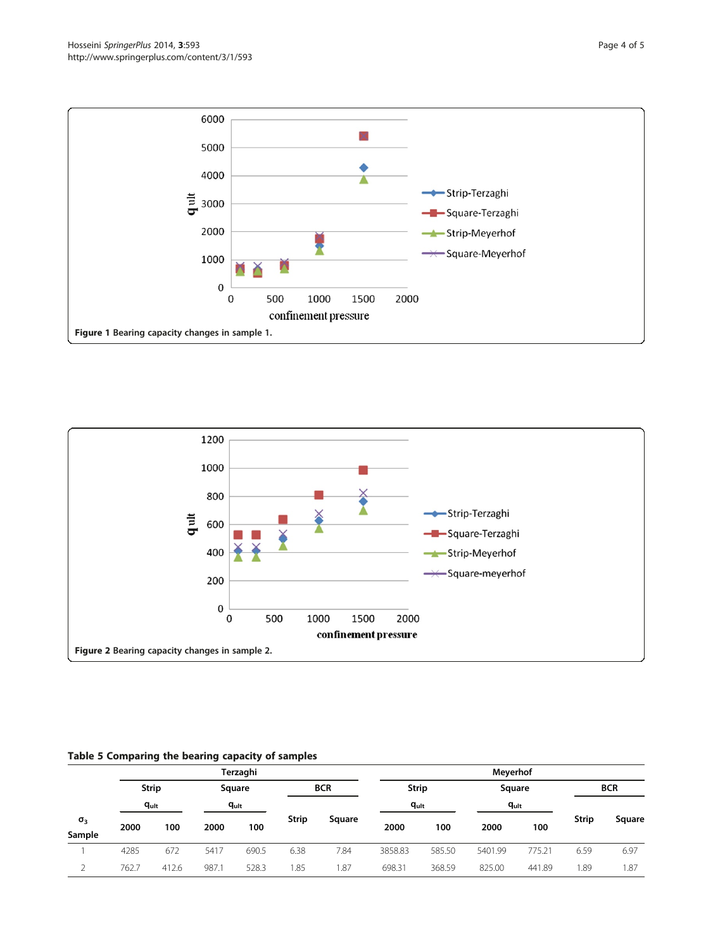<span id="page-3-0"></span>



### Table 5 Comparing the bearing capacity of samples

|                      |       |                           |      | Terzaghi  |       |        | Meyerhof   |        |              |        |              |        |            |  |
|----------------------|-------|---------------------------|------|-----------|-------|--------|------------|--------|--------------|--------|--------------|--------|------------|--|
|                      |       | <b>Strip</b><br>$q_{ult}$ |      | Square    |       |        | <b>BCR</b> |        | <b>Strip</b> |        | Square       |        | <b>BCR</b> |  |
|                      |       |                           |      | $q_{ult}$ |       |        | $q_{ult}$  |        | $q_{ult}$    |        |              |        |            |  |
| $\sigma_3$<br>Sample | 2000  | 100                       | 2000 | 100       | Strip | Square | 2000       | 100    | 2000         | 100    | <b>Strip</b> | Square |            |  |
|                      | 4285  | 672                       | 5417 | 690.5     | 6.38  | 7.84   | 3858.83    | 585.50 | 5401.99      | 775.21 | 6.59         | 6.97   |            |  |
|                      | 762.7 | 412.6                     | 987. | 528.3     | 1.85  | 1.87   | 698.31     | 368.59 | 825.00       | 441.89 | 1.89         | 1.87   |            |  |